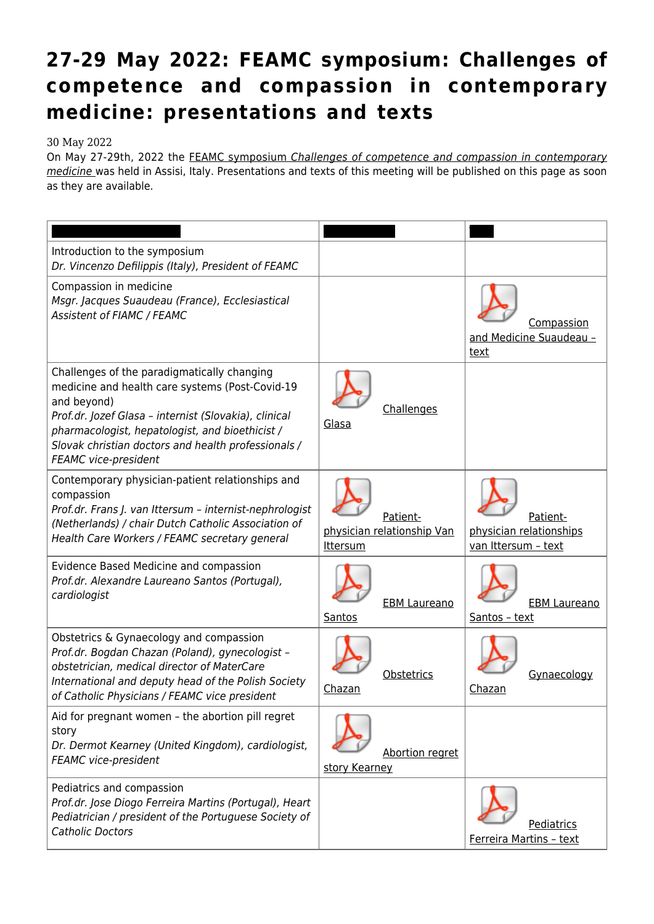## **[27-29 May 2022: FEAMC symposium: Challenges of](https://feamc.eu/27-29-may-2022-feamc-symposium-challenges-of-competence-and-compassion-in-contemporary-medicine-presentations-and-texts/) [competence and compassion in contemporary](https://feamc.eu/27-29-may-2022-feamc-symposium-challenges-of-competence-and-compassion-in-contemporary-medicine-presentations-and-texts/) [medicine: presentations and texts](https://feamc.eu/27-29-may-2022-feamc-symposium-challenges-of-competence-and-compassion-in-contemporary-medicine-presentations-and-texts/)**

## 30 May 2022

On May 27-29th, 2022 the [FEAMC symposium](https://feamc.eu/27-29-may-2022-feamc-symposium-challenges-of-competence-and-compassion-in-contemporary-medicine/) [Challenges of competence and compassion in contemporary](https://feamc.eu/27-29-may-2022-feamc-symposium-challenges-of-competence-and-compassion-in-contemporary-medicine/) [medicine](https://feamc.eu/27-29-may-2022-feamc-symposium-challenges-of-competence-and-compassion-in-contemporary-medicine/) [w](https://feamc.eu/27-29-may-2022-feamc-symposium-challenges-of-competence-and-compassion-in-contemporary-medicine/)as held in Assisi, Italy. Presentations and texts of this meeting will be published on this page as soon as they are available.

| Introduction to the symposium<br>Dr. Vincenzo Defilippis (Italy), President of FEAMC                                                                                                                                                                                                                     |                                                           |                                                            |
|----------------------------------------------------------------------------------------------------------------------------------------------------------------------------------------------------------------------------------------------------------------------------------------------------------|-----------------------------------------------------------|------------------------------------------------------------|
| Compassion in medicine<br>Msgr. Jacques Suaudeau (France), Ecclesiastical<br>Assistent of FIAMC / FEAMC                                                                                                                                                                                                  |                                                           | Compassion<br>and Medicine Suaudeau -<br>text              |
| Challenges of the paradigmatically changing<br>medicine and health care systems (Post-Covid-19<br>and beyond)<br>Prof.dr. Jozef Glasa - internist (Slovakia), clinical<br>pharmacologist, hepatologist, and bioethicist /<br>Slovak christian doctors and health professionals /<br>FEAMC vice-president | Challenges<br>Glasa                                       |                                                            |
| Contemporary physician-patient relationships and<br>compassion<br>Prof.dr. Frans J. van Ittersum - internist-nephrologist<br>(Netherlands) / chair Dutch Catholic Association of<br>Health Care Workers / FEAMC secretary general                                                                        | Patient-<br>physician relationship Van<br><b>Ittersum</b> | Patient-<br>physician relationships<br>van Ittersum - text |
| Evidence Based Medicine and compassion<br>Prof.dr. Alexandre Laureano Santos (Portugal),<br>cardiologist                                                                                                                                                                                                 | <b>EBM Laureano</b><br>Santos                             | <b>EBM Laureano</b><br>Santos - text                       |
| Obstetrics & Gynaecology and compassion<br>Prof.dr. Bogdan Chazan (Poland), gynecologist -<br>obstetrician, medical director of MaterCare<br>International and deputy head of the Polish Society<br>of Catholic Physicians / FEAMC vice president                                                        | Obstetrics<br>Chazan                                      | Gynaecology<br>Chazan                                      |
| Aid for pregnant women - the abortion pill regret<br>story<br>Dr. Dermot Kearney (United Kingdom), cardiologist,<br>FEAMC vice-president                                                                                                                                                                 | Abortion regret<br>story Kearney                          |                                                            |
| Pediatrics and compassion<br>Prof.dr. Jose Diogo Ferreira Martins (Portugal), Heart<br>Pediatrician / president of the Portuguese Society of<br><b>Catholic Doctors</b>                                                                                                                                  |                                                           | Pediatrics<br>Ferreira Martins - text                      |